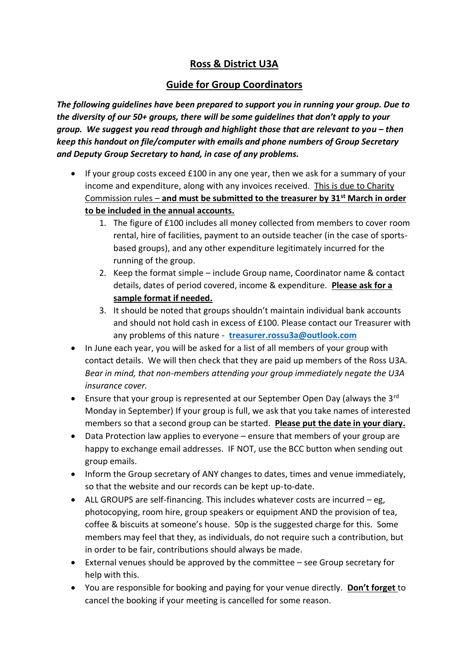## **Ross & District U3A**

## **Guide for Group Coordinators**

*The following guidelines have been prepared to support you in running your group. Due to the diversity of our 50+ groups, there will be some guidelines that don't apply to your group. We suggest you read through and highlight those that are relevant to you – then keep this handout on file/computer with emails and phone numbers of Group Secretary and Deputy Group Secretary to hand, in case of any problems.* 

- If your group costs exceed £100 in any one year, then we ask for a summary of your income and expenditure, along with any invoices received. This is due to Charity Commission rules – **and must be submitted to the treasurer by 31st March in order to be included in the annual accounts.** 
	- 1. The figure of £100 includes all money collected from members to cover room rental, hire of facilities, payment to an outside teacher (in the case of sportsbased groups), and any other expenditure legitimately incurred for the running of the group.
	- 2. Keep the format simple include Group name, Coordinator name & contact details, dates of period covered, income & expenditure. **Please ask for a sample format if needed.**
	- 3. It should be noted that groups shouldn't maintain individual bank accounts and should not hold cash in excess of £100. Please contact our Treasurer with any problems of this nature - **[treasurer.rossu3a@outlook.com](mailto:treasurer.rossu3a@outlook.com)**
- In June each year, you will be asked for a list of all members of your group with contact details. We will then check that they are paid up members of the Ross U3A. *Bear in mind, that non-members attending your group immediately negate the U3A insurance cover.*
- Ensure that your group is represented at our September Open Day (always the 3<sup>rd</sup>) Monday in September) If your group is full, we ask that you take names of interested members so that a second group can be started. **Please put the date in your diary.**
- Data Protection law applies to everyone ensure that members of your group are happy to exchange email addresses. IF NOT, use the BCC button when sending out group emails.
- Inform the Group secretary of ANY changes to dates, times and venue immediately, so that the website and our records can be kept up-to-date.
- ALL GROUPS are self-financing. This includes whatever costs are incurred  $-e$ g, photocopying, room hire, group speakers or equipment AND the provision of tea, coffee & biscuits at someone's house. 50p is the suggested charge for this. Some members may feel that they, as individuals, do not require such a contribution, but in order to be fair, contributions should always be made.
- External venues should be approved by the committee see Group secretary for help with this.
- You are responsible for booking and paying for your venue directly. **Don't forget** to cancel the booking if your meeting is cancelled for some reason.